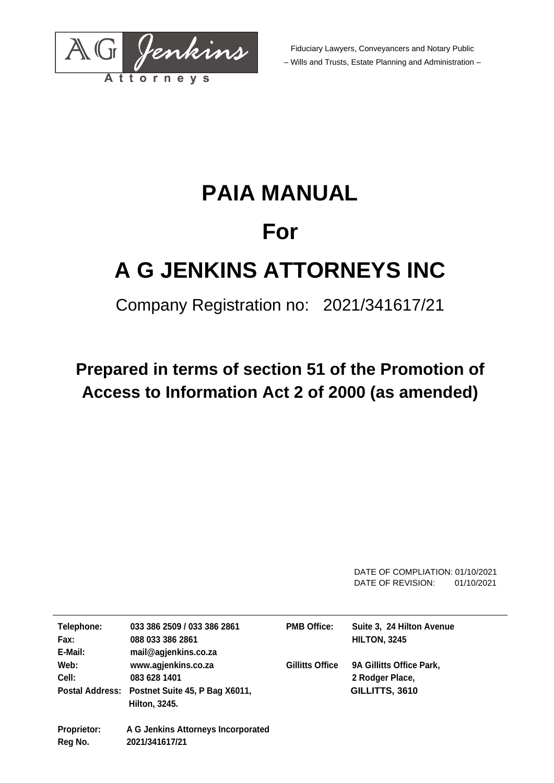

Fiduciary Lawyers, Conveyancers and Notary Public – Wills and Trusts, Estate Planning and Administration –

# **PAIA MANUAL For A G JENKINS ATTORNEYS INC**

### Company Registration no: 2021/341617/21

## **Prepared in terms of section 51 of the Promotion of Access to Information Act 2 of 2000 (as amended)**

DATE OF COMPLIATION: 01/10/2021 DATE OF REVISION: 01/10/2021

| Telephone:<br>Fax:<br>E-Mail: | 033 386 2509 / 033 386 2861<br>088 033 386 2861<br>mail@agjenkins.co.za                                | <b>PMB Office:</b>     | Suite 3, 24 Hilton Avenue<br><b>HILTON, 3245</b>              |
|-------------------------------|--------------------------------------------------------------------------------------------------------|------------------------|---------------------------------------------------------------|
| Web:<br>Cell:                 | www.agjenkins.co.za<br>083 628 1401<br>Postal Address: Postnet Suite 45, P Bag X6011,<br>Hilton, 3245. | <b>Gillitts Office</b> | 9A Gillitts Office Park,<br>2 Rodger Place,<br>GILLITTS, 3610 |
| <b>Proprietor:</b><br>Reg No. | A G Jenkins Attorneys Incorporated<br>2021/341617/21                                                   |                        |                                                               |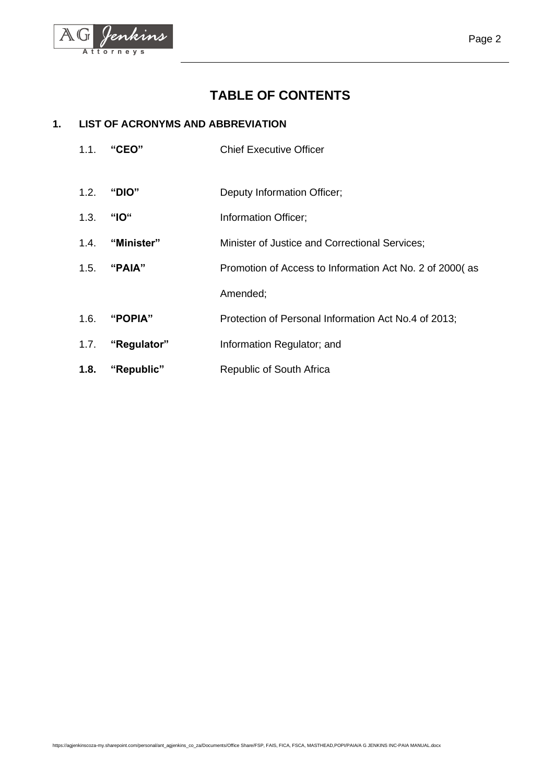

### **TABLE OF CONTENTS**

#### **1. LIST OF ACRONYMS AND ABBREVIATION**

- 1.1. **"CEO"** Chief Executive Officer
- 1.2. **"DIO"** Deputy Information Officer;
- 1.3. **"IO"** Information Officer;
- 1.4. **"Minister"** Minister of Justice and Correctional Services;
- 1.5. **"PAIA"** Promotion of Access to Information Act No. 2 of 2000( as Amended;
- 1.6. **"POPIA"** Protection of Personal Information Act No.4 of 2013;
- 1.7. **"Regulator"** Information Regulator; and
- **1.8. "Republic"** Republic of South Africa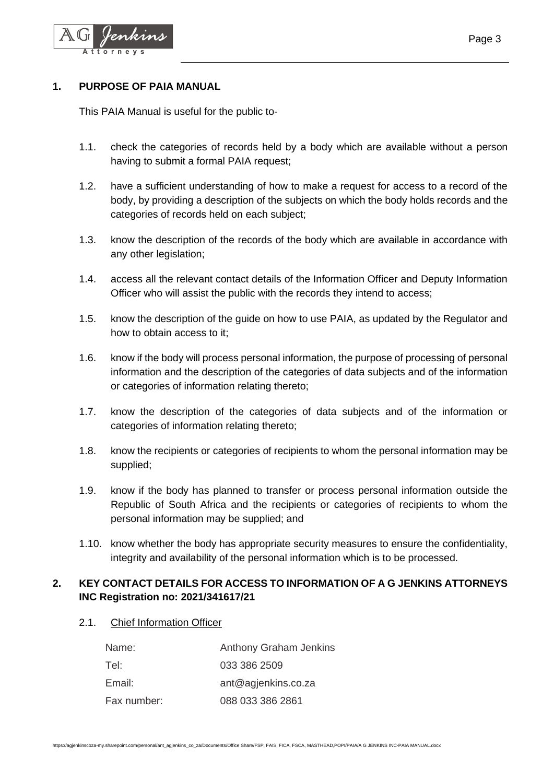

#### **1. PURPOSE OF PAIA MANUAL**

This PAIA Manual is useful for the public to-

- 1.1. check the categories of records held by a body which are available without a person having to submit a formal PAIA request;
- 1.2. have a sufficient understanding of how to make a request for access to a record of the body, by providing a description of the subjects on which the body holds records and the categories of records held on each subject;
- 1.3. know the description of the records of the body which are available in accordance with any other legislation:
- 1.4. access all the relevant contact details of the Information Officer and Deputy Information Officer who will assist the public with the records they intend to access;
- 1.5. know the description of the guide on how to use PAIA, as updated by the Regulator and how to obtain access to it;
- 1.6. know if the body will process personal information, the purpose of processing of personal information and the description of the categories of data subjects and of the information or categories of information relating thereto;
- 1.7. know the description of the categories of data subjects and of the information or categories of information relating thereto;
- 1.8. know the recipients or categories of recipients to whom the personal information may be supplied;
- 1.9. know if the body has planned to transfer or process personal information outside the Republic of South Africa and the recipients or categories of recipients to whom the personal information may be supplied; and
- 1.10. know whether the body has appropriate security measures to ensure the confidentiality, integrity and availability of the personal information which is to be processed.

#### **2. KEY CONTACT DETAILS FOR ACCESS TO INFORMATION OF A G JENKINS ATTORNEYS INC Registration no: 2021/341617/21**

2.1. Chief Information Officer

| Name:       | <b>Anthony Graham Jenkins</b> |
|-------------|-------------------------------|
| Tel:        | 033 386 2509                  |
| Email:      | ant@agjenkins.co.za           |
| Fax number: | 088 033 386 2861              |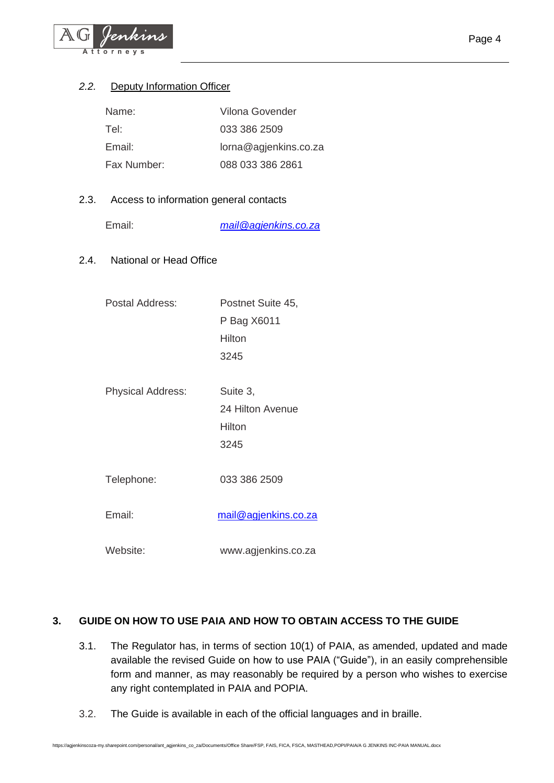

#### *2.2.* Deputy Information Officer

| Name:       | Vilona Govender       |
|-------------|-----------------------|
| Tel:        | 033 386 2509          |
| Email:      | lorna@agjenkins.co.za |
| Fax Number: | 088 033 386 2861      |

#### 2.3. Access to information general contacts

Email: *mail@agjenkins.co.za*

2.4. National or Head Office

| Postal Address:          | Postnet Suite 45,    |
|--------------------------|----------------------|
|                          | P Bag X6011          |
|                          | Hilton               |
|                          | 3245                 |
|                          |                      |
| <b>Physical Address:</b> | Suite 3,             |
|                          | 24 Hilton Avenue     |
|                          | Hilton               |
|                          | 3245                 |
|                          |                      |
| Telephone:               | 033 386 2509         |
|                          |                      |
| Email:                   | mail@agjenkins.co.za |
|                          |                      |
| Website:                 | www.agjenkins.co.za  |

#### **3. GUIDE ON HOW TO USE PAIA AND HOW TO OBTAIN ACCESS TO THE GUIDE**

- 3.1. The Regulator has, in terms of section 10(1) of PAIA, as amended, updated and made available the revised Guide on how to use PAIA ("Guide"), in an easily comprehensible form and manner, as may reasonably be required by a person who wishes to exercise any right contemplated in PAIA and POPIA.
- 3.2. The Guide is available in each of the official languages and in braille.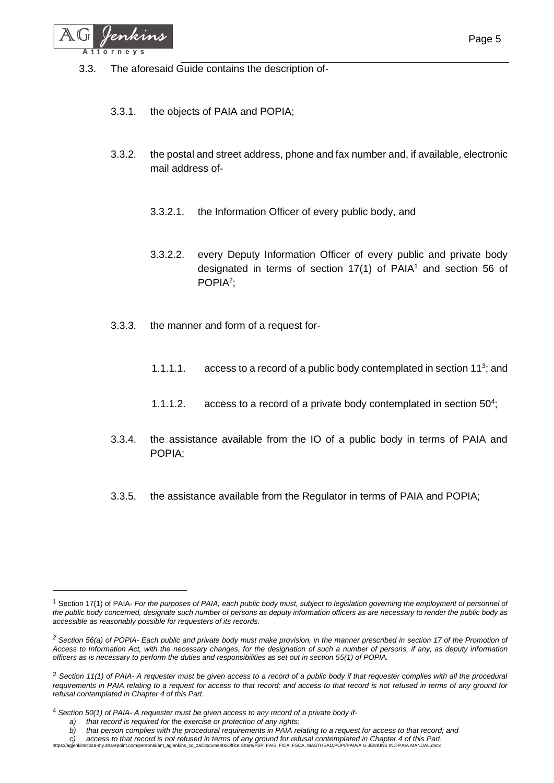

- 3.3.1. the objects of PAIA and POPIA;
- 3.3.2. the postal and street address, phone and fax number and, if available, electronic mail address of-
	- 3.3.2.1. the Information Officer of every public body, and
	- 3.3.2.2. every Deputy Information Officer of every public and private body designated in terms of section  $17(1)$  of PAIA<sup>1</sup> and section 56 of POPIA<sup>2</sup>;
- 3.3.3. the manner and form of a request for-
	- 1.1.1.1.  $\alpha$  access to a record of a public body contemplated in section 11<sup>3</sup>; and
	- 1.1.1.2. access to a record of a private body contemplated in section  $50<sup>4</sup>$ ;
- 3.3.4. the assistance available from the IO of a public body in terms of PAIA and POPIA;
- 3.3.5. the assistance available from the Regulator in terms of PAIA and POPIA;

<sup>&</sup>lt;sup>1</sup> Section 17(1) of PAIA- *For the purposes of PAIA, each public body must, subject to legislation governing the employment of personnel of the public body concerned, designate such number of persons as deputy information officers as are necessary to render the public body as accessible as reasonably possible for requesters of its records.*

*<sup>2</sup> Section 56(a) of POPIA- Each public and private body must make provision, in the manner prescribed in section 17 of the Promotion of Access to Information Act, with the necessary changes, for the designation of such a number of persons, if any, as deputy information officers as is necessary to perform the duties and responsibilities as set out in section 55(1) of POPIA.*

*<sup>3</sup> Section 11(1) of PAIA- A requester must be given access to a record of a public body if that requester complies with all the procedural requirements in PAIA relating to a request for access to that record; and access to that record is not refused in terms of any ground for refusal contemplated in Chapter 4 of this Part.*

<sup>4</sup> *Section 50(1) of PAIA- A requester must be given access to any record of a private body if-*

*a) that record is required for the exercise or protection of any rights;*

*b) that person complies with the procedural requirements in PAIA relating to a request for access to that record; and*

C) access to that record is not refused in terms of any ground for refusal contemplated in Chapter 4 of this Part.<br>https://agjenkinscoza-my.sharepoint.com/personal/ant\_agjenkins\_co\_za/Documents/Office Share/FSP, FAIS, FICA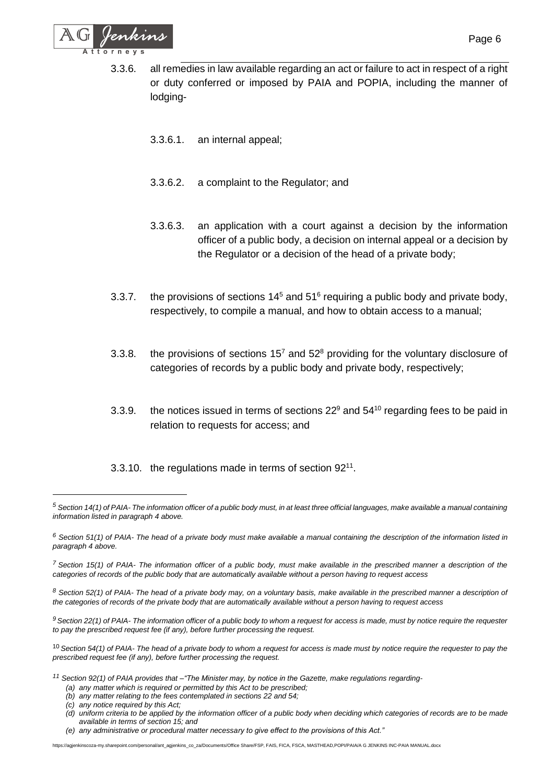

- 3.3.6.1. an internal appeal;
- 3.3.6.2. a complaint to the Regulator; and
- 3.3.6.3. an application with a court against a decision by the information officer of a public body, a decision on internal appeal or a decision by the Regulator or a decision of the head of a private body;
- 3.3.7. the provisions of sections  $14<sup>5</sup>$  and  $51<sup>6</sup>$  requiring a public body and private body, respectively, to compile a manual, and how to obtain access to a manual;
- 3.3.8. the provisions of sections  $15<sup>7</sup>$  and  $52<sup>8</sup>$  providing for the voluntary disclosure of categories of records by a public body and private body, respectively;
- 3.3.9. the notices issued in terms of sections  $22^9$  and  $54^{10}$  regarding fees to be paid in relation to requests for access; and

3.3.10. the regulations made in terms of section  $92^{11}$ .

*<sup>8</sup> Section 52(1) of PAIA- The head of a private body may, on a voluntary basis, make available in the prescribed manner a description of the categories of records of the private body that are automatically available without a person having to request access*

*<sup>9</sup>Section 22(1) of PAIA- The information officer of a public body to whom a request for access is made, must by notice require the requester to pay the prescribed request fee (if any), before further processing the request.*

<sup>10</sup> *Section 54(1) of PAIA- The head of a private body to whom a request for access is made must by notice require the requester to pay the prescribed request fee (if any), before further processing the request.*

- *<sup>11</sup> Section 92(1) of PAIA provides that –"The Minister may, by notice in the Gazette, make regulations regarding-*
	- *(a) any matter which is required or permitted by this Act to be prescribed;*
	- *(b) any matter relating to the fees contemplated in sections 22 and 54;*
	- *(c) any notice required by this Act;*
	- *(d) uniform criteria to be applied by the information officer of a public body when deciding which categories of records are to be made available in terms of section 15; and*
	- *(e) any administrative or procedural matter necessary to give effect to the provisions of this Act."*

https://agjenkinscoza-my.sharepoint.com/personal/ant\_agjenkins\_co\_za/Documents/Office Share/FSP, FAIS, FICA, FSCA, MASTHEAD,POPI/PAIA/A G JENKINS INC-PAIA MANUAL.docx

*<sup>5</sup> Section 14(1) of PAIA- The information officer of a public body must, in at least three official languages, make available a manual containing information listed in paragraph 4 above.*

*<sup>6</sup> Section 51(1) of PAIA- The head of a private body must make available a manual containing the description of the information listed in paragraph 4 above.*

*<sup>7</sup> Section 15(1) of PAIA- The information officer of a public body, must make available in the prescribed manner a description of the categories of records of the public body that are automatically available without a person having to request access*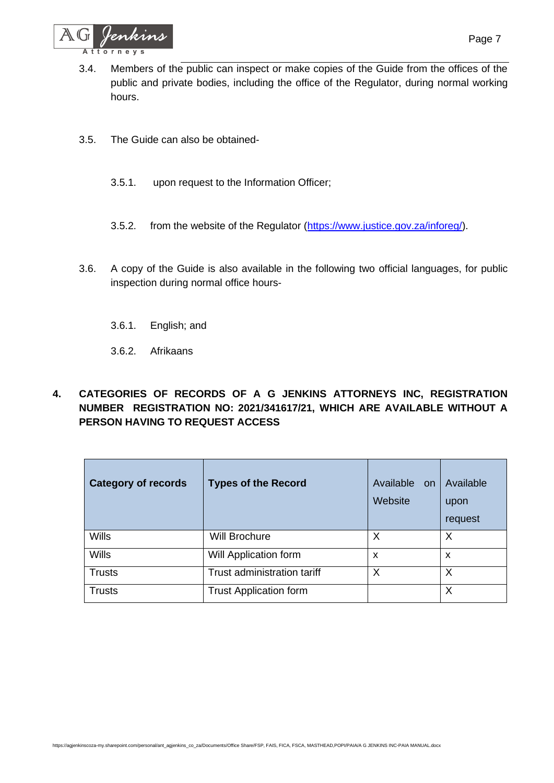

- 3.4. Members of the public can inspect or make copies of the Guide from the offices of the public and private bodies, including the office of the Regulator, during normal working hours.
- 3.5. The Guide can also be obtained-
	- 3.5.1. upon request to the Information Officer;
	- 3.5.2. from the website of the Regulator [\(https://www.justice.gov.za/inforeg/\)](https://www.justice.gov.za/inforeg/).
- 3.6. A copy of the Guide is also available in the following two official languages, for public inspection during normal office hours-
	- 3.6.1. English; and
	- 3.6.2. Afrikaans
- **4. CATEGORIES OF RECORDS OF A G JENKINS ATTORNEYS INC, REGISTRATION NUMBER REGISTRATION NO: 2021/341617/21, WHICH ARE AVAILABLE WITHOUT A PERSON HAVING TO REQUEST ACCESS**

| <b>Category of records</b> | <b>Types of the Record</b>    | Available<br>on<br>Website | Available<br>upon<br>request |
|----------------------------|-------------------------------|----------------------------|------------------------------|
| <b>Wills</b>               | <b>Will Brochure</b>          | X                          | X                            |
| <b>Wills</b>               | Will Application form         | X                          | X                            |
| <b>Trusts</b>              | Trust administration tariff   | X                          | X                            |
| <b>Trusts</b>              | <b>Trust Application form</b> |                            | X                            |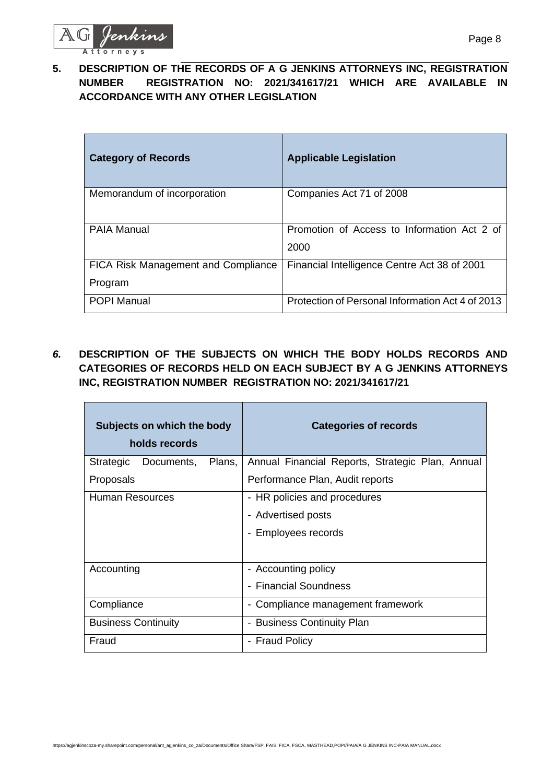

**5. DESCRIPTION OF THE RECORDS OF A G JENKINS ATTORNEYS INC, REGISTRATION NUMBER REGISTRATION NO: 2021/341617/21 WHICH ARE AVAILABLE IN ACCORDANCE WITH ANY OTHER LEGISLATION**

| <b>Category of Records</b>                     | <b>Applicable Legislation</b>                       |
|------------------------------------------------|-----------------------------------------------------|
| Memorandum of incorporation                    | Companies Act 71 of 2008                            |
| <b>PAIA Manual</b>                             | Promotion of Access to Information Act 2 of<br>2000 |
| FICA Risk Management and Compliance<br>Program | Financial Intelligence Centre Act 38 of 2001        |
| <b>POPI Manual</b>                             | Protection of Personal Information Act 4 of 2013    |

*6.* **DESCRIPTION OF THE SUBJECTS ON WHICH THE BODY HOLDS RECORDS AND CATEGORIES OF RECORDS HELD ON EACH SUBJECT BY A G JENKINS ATTORNEYS INC, REGISTRATION NUMBER REGISTRATION NO: 2021/341617/21**

|                            | Subjects on which the body<br>holds records |        | <b>Categories of records</b>                     |
|----------------------------|---------------------------------------------|--------|--------------------------------------------------|
| Strategic                  | Documents,                                  | Plans, | Annual Financial Reports, Strategic Plan, Annual |
| Proposals                  |                                             |        | Performance Plan, Audit reports                  |
| Human Resources            |                                             |        | - HR policies and procedures                     |
|                            |                                             |        | - Advertised posts                               |
|                            |                                             |        | - Employees records                              |
|                            |                                             |        |                                                  |
| Accounting                 |                                             |        | - Accounting policy                              |
|                            |                                             |        | - Financial Soundness                            |
| Compliance                 |                                             |        | - Compliance management framework                |
| <b>Business Continuity</b> |                                             |        | - Business Continuity Plan                       |
| Fraud                      |                                             |        | - Fraud Policy                                   |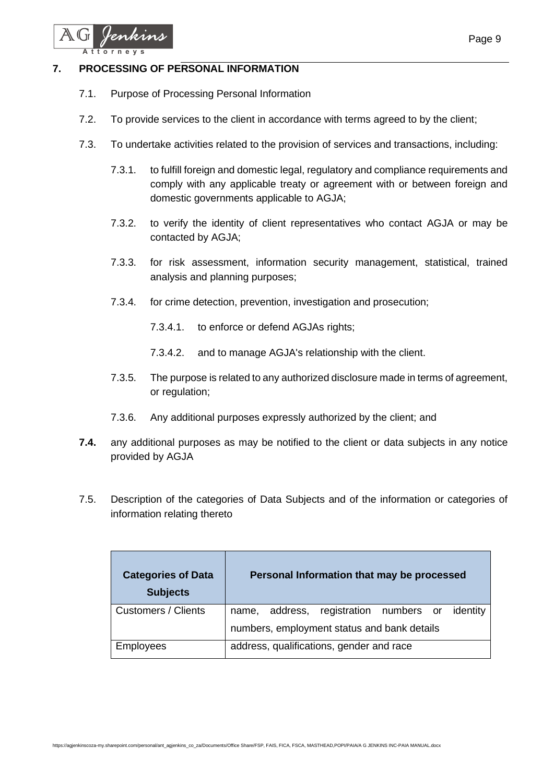

#### **7. PROCESSING OF PERSONAL INFORMATION**

- 7.1. Purpose of Processing Personal Information
- 7.2. To provide services to the client in accordance with terms agreed to by the client;
- 7.3. To undertake activities related to the provision of services and transactions, including:
	- 7.3.1. to fulfill foreign and domestic legal, regulatory and compliance requirements and comply with any applicable treaty or agreement with or between foreign and domestic governments applicable to AGJA;
	- 7.3.2. to verify the identity of client representatives who contact AGJA or may be contacted by AGJA;
	- 7.3.3. for risk assessment, information security management, statistical, trained analysis and planning purposes;
	- 7.3.4. for crime detection, prevention, investigation and prosecution;
		- 7.3.4.1. to enforce or defend AGJAs rights;
		- 7.3.4.2. and to manage AGJA's relationship with the client.
	- 7.3.5. The purpose is related to any authorized disclosure made in terms of agreement, or regulation;
	- 7.3.6. Any additional purposes expressly authorized by the client; and
- **7.4.** any additional purposes as may be notified to the client or data subjects in any notice provided by AGJA
- 7.5. Description of the categories of Data Subjects and of the information or categories of information relating thereto

| <b>Categories of Data</b><br><b>Subjects</b> | Personal Information that may be processed      |  |  |
|----------------------------------------------|-------------------------------------------------|--|--|
| Customers / Clients                          | name, address, registration numbers or identity |  |  |
|                                              | numbers, employment status and bank details     |  |  |
| <b>Employees</b>                             | address, qualifications, gender and race        |  |  |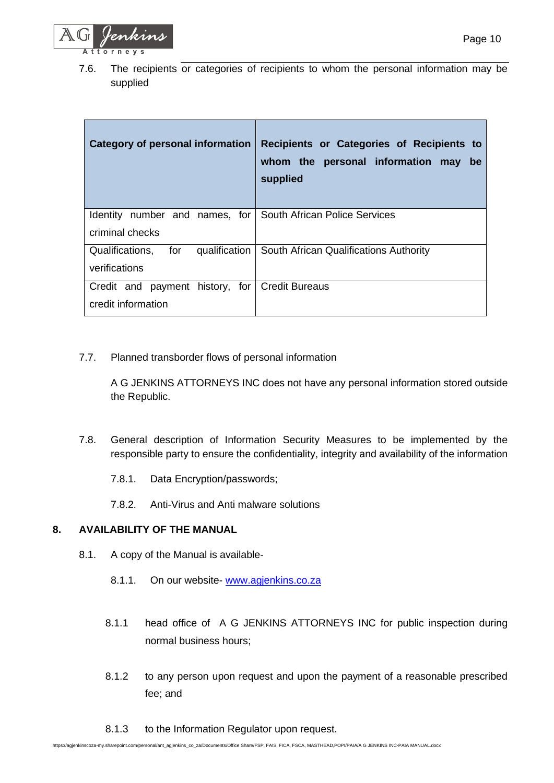

7.6. The recipients or categories of recipients to whom the personal information may be supplied

| Category of personal information                             | Recipients or Categories of Recipients to<br>whom the personal information may<br>be<br>supplied |
|--------------------------------------------------------------|--------------------------------------------------------------------------------------------------|
| Identity number and names, for South African Police Services |                                                                                                  |
| criminal checks                                              |                                                                                                  |
| for<br>Qualifications,<br>qualification                      | South African Qualifications Authority                                                           |
| verifications                                                |                                                                                                  |
| Credit and payment history, for Credit Bureaus               |                                                                                                  |
| credit information                                           |                                                                                                  |

7.7. Planned transborder flows of personal information

A G JENKINS ATTORNEYS INC does not have any personal information stored outside the Republic.

- 7.8. General description of Information Security Measures to be implemented by the responsible party to ensure the confidentiality, integrity and availability of the information
	- 7.8.1. Data Encryption/passwords;
	- 7.8.2. Anti-Virus and Anti malware solutions

#### **8. AVAILABILITY OF THE MANUAL**

- 8.1. A copy of the Manual is available-
	- 8.1.1. On our website- [www.agjenkins.co.za](http://www.agjenkins.co.za/)
	- 8.1.1 head office of A G JENKINS ATTORNEYS INC for public inspection during normal business hours;
	- 8.1.2 to any person upon request and upon the payment of a reasonable prescribed fee; and
	- 8.1.3 to the Information Regulator upon request.